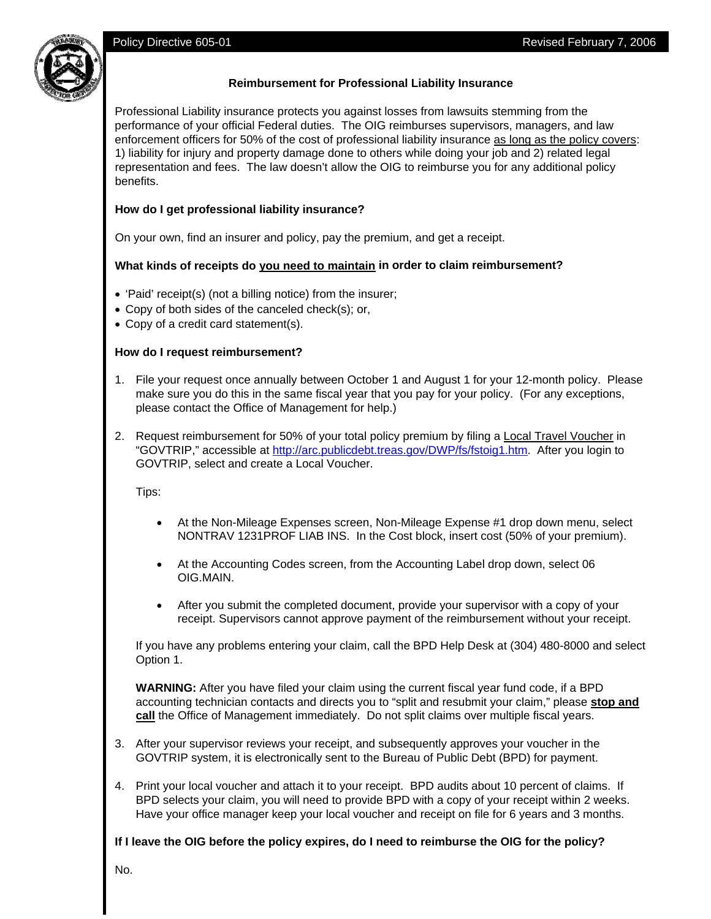

## **Reimbursement for Professional Liability Insurance**

Professional Liability insurance protects you against losses from lawsuits stemming from the performance of your official Federal duties. The OIG reimburses supervisors, managers, and law enforcement officers for 50% of the cost of professional liability insurance as long as the policy covers: 1) liability for injury and property damage done to others while doing your job and 2) related legal representation and fees. The law doesn't allow the OIG to reimburse you for any additional policy benefits.

# **How do I get professional liability insurance?**

On your own, find an insurer and policy, pay the premium, and get a receipt.

## **What kinds of receipts do you need to maintain in order to claim reimbursement?**

- 'Paid' receipt(s) (not a billing notice) from the insurer;
- Copy of both sides of the canceled check(s); or,
- Copy of a credit card statement(s).

## **How do I request reimbursement?**

- 1. File your request once annually between October 1 and August 1 for your 12-month policy. Please make sure you do this in the same fiscal year that you pay for your policy. (For any exceptions, please contact the Office of Management for help.)
- 2. Request reimbursement for 50% of your total policy premium by filing a Local Travel Voucher in "GOVTRIP," accessible at http://arc.publicdebt.treas.gov/DWP/fs/fstoig1.htm. After you login to GOVTRIP, select and create a Local Voucher.

Tips:

- At the Non-Mileage Expenses screen, Non-Mileage Expense #1 drop down menu, select NONTRAV 1231PROF LIAB INS. In the Cost block, insert cost (50% of your premium).
- At the Accounting Codes screen, from the Accounting Label drop down, select 06 OIG.MAIN.
- After you submit the completed document, provide your supervisor with a copy of your receipt. Supervisors cannot approve payment of the reimbursement without your receipt.

If you have any problems entering your claim, call the BPD Help Desk at (304) 480-8000 and select Option 1.

**WARNING:** After you have filed your claim using the current fiscal year fund code, if a BPD accounting technician contacts and directs you to "split and resubmit your claim," please **stop and call** the Office of Management immediately. Do not split claims over multiple fiscal years.

- 3. After your supervisor reviews your receipt, and subsequently approves your voucher in the GOVTRIP system, it is electronically sent to the Bureau of Public Debt (BPD) for payment.
- 4. Print your local voucher and attach it to your receipt. BPD audits about 10 percent of claims. If BPD selects your claim, you will need to provide BPD with a copy of your receipt within 2 weeks. Have your office manager keep your local voucher and receipt on file for 6 years and 3 months.

**If I leave the OIG before the policy expires, do I need to reimburse the OIG for the policy?** 

No.